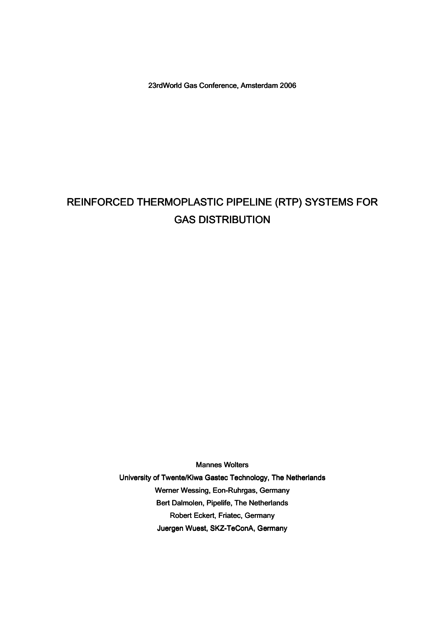23rdWorld Gas Conference, Amsterdam 2006

# REINFORCED THERMOPLASTIC PIPELINE (RTP) SYSTEMS FOR **GAS DISTRIBUTION**

Mannes Wolters University of Twente/Kiwa Gastec Technology, The Netherlands Werner Wessing, Eon-Ruhrgas, Germany Bert Dalmolen, Pipelife, The Netherlands Robert Eckert, Friatec, Germany Juergen Wuest, SKZ-TeConA, Germany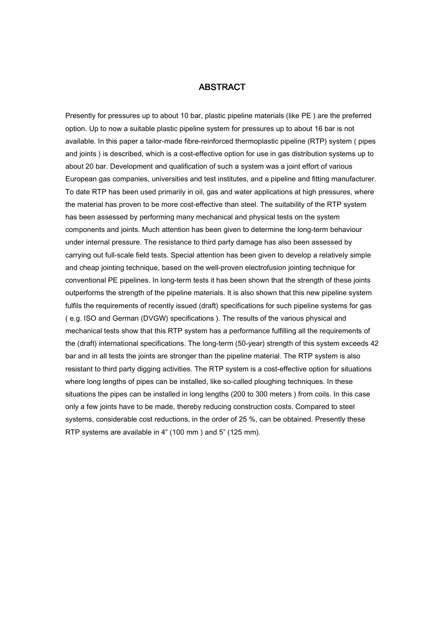# **ABSTRACT**

Presently for pressures up to about 10 bar, plastic pipeline materials (like PE ) are the preferred option. Up to now a suitable plastic pipeline system for pressures up to about 16 bar is not available. In this paper a tailor-made fibre-reinforced thermoplastic pipeline (RTP) system ( pipes and joints ) is described, which is a cost-effective option for use in gas distribution systems up to about 20 bar. Development and qualification of such a system was a joint effort of various European gas companies, universities and test institutes, and a pipeline and fitting manufacturer. To date RTP has been used primarily in oil, gas and water applications at high pressures, where the material has proven to be more cost-effective than steel. The suitability of the RTP system has been assessed by performing many mechanical and physical tests on the system components and joints. Much attention has been given to determine the long-term behaviour under internal pressure. The resistance to third party damage has also been assessed by carrying out full-scale field tests. Special attention has been given to develop a relatively simple and cheap jointing technique, based on the well-proven electrofusion jointing technique for conventional PE pipelines. In long-term tests it has been shown that the strength of these joints outperforms the strength of the pipeline materials. It is also shown that this new pipeline system fulfils the requirements of recently issued (draft) specifications for such pipeline systems for gas ( e.g. ISO and German (DVGW) specifications ). The results of the various physical and mechanical tests show that this RTP system has a performance fulfilling all the requirements of the (draft) international specifications. The long-term (50-year) strength of this system exceeds 42 bar and in all tests the joints are stronger than the pipeline material. The RTP system is also resistant to third party digging activities. The RTP system is a cost-effective option for situations where long lengths of pipes can be installed, like so-called ploughing techniques. In these situations the pipes can be installed in long lengths (200 to 300 meters ) from coils. In this case only a few joints have to be made, thereby reducing construction costs. Compared to steel systems, considerable cost reductions, in the order of 25 %, can be obtained. Presently these RTP systems are available in 4" (100 mm ) and 5" (125 mm).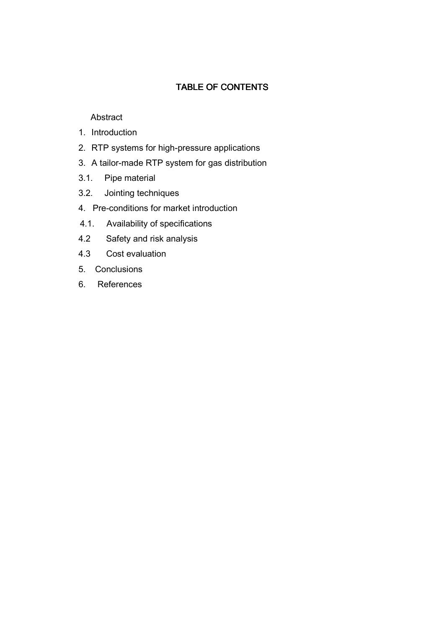# TABLE OF CONTENTS

# **Abstract**

- 1. Introduction
- 2. RTP systems for high-pressure applications
- 3. A tailor-made RTP system for gas distribution
- 3.1. Pipe material
- 3.2. Jointing techniques
- 4. Pre-conditions for market introduction
- 4.1. Availability of specifications
- 4.2 Safety and risk analysis
- 4.3 Cost evaluation
- 5. Conclusions
- 6. References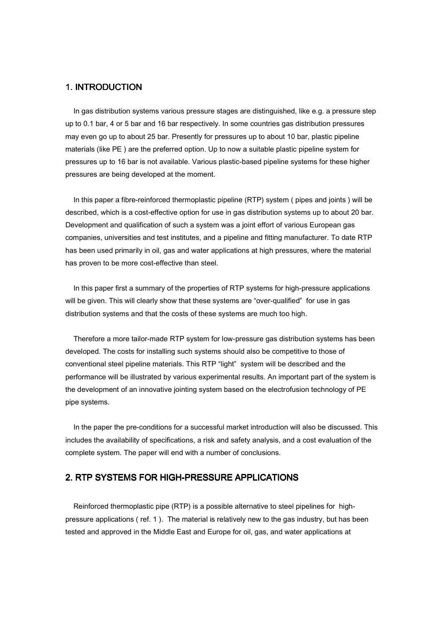## 1. INTRODUCTION

 In gas distribution systems various pressure stages are distinguished, like e.g. a pressure step up to 0.1 bar, 4 or 5 bar and 16 bar respectively. In some countries gas distribution pressures may even go up to about 25 bar. Presently for pressures up to about 10 bar, plastic pipeline materials (like PE ) are the preferred option. Up to now a suitable plastic pipeline system for pressures up to 16 bar is not available. Various plastic-based pipeline systems for these higher pressures are being developed at the moment.

 In this paper a fibre-reinforced thermoplastic pipeline (RTP) system ( pipes and joints ) will be described, which is a cost-effective option for use in gas distribution systems up to about 20 bar. Development and qualification of such a system was a joint effort of various European gas companies, universities and test institutes, and a pipeline and fitting manufacturer. To date RTP has been used primarily in oil, gas and water applications at high pressures, where the material has proven to be more cost-effective than steel.

 In this paper first a summary of the properties of RTP systems for high-pressure applications will be given. This will clearly show that these systems are "over-qualified" for use in gas distribution systems and that the costs of these systems are much too high.

 Therefore a more tailor-made RTP system for low-pressure gas distribution systems has been developed. The costs for installing such systems should also be competitive to those of conventional steel pipeline materials. This RTP "light" system will be described and the performance will be illustrated by various experimental results. An important part of the system is the development of an innovative jointing system based on the electrofusion technology of PE pipe systems.

 In the paper the pre-conditions for a successful market introduction will also be discussed. This includes the availability of specifications, a risk and safety analysis, and a cost evaluation of the complete system. The paper will end with a number of conclusions.

# 2. RTP SYSTEMS FOR HIGH-PRESSURE APPLICATIONS

 Reinforced thermoplastic pipe (RTP) is a possible alternative to steel pipelines for highpressure applications ( ref. 1 ). The material is relatively new to the gas industry, but has been tested and approved in the Middle East and Europe for oil, gas, and water applications at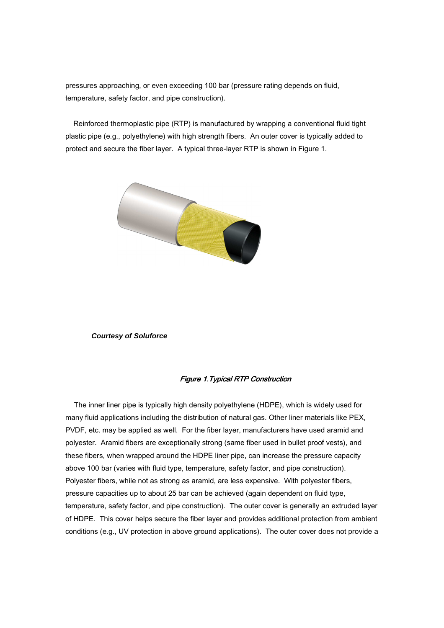pressures approaching, or even exceeding 100 bar (pressure rating depends on fluid, temperature, safety factor, and pipe construction).

 Reinforced thermoplastic pipe (RTP) is manufactured by wrapping a conventional fluid tight plastic pipe (e.g., polyethylene) with high strength fibers. An outer cover is typically added to protect and secure the fiber layer. A typical three-layer RTP is shown in Figure 1.



#### **Courtesy of Soluforce**

#### Figure 1. Typical RTP Construction

 The inner liner pipe is typically high density polyethylene (HDPE), which is widely used for many fluid applications including the distribution of natural gas. Other liner materials like PEX, PVDF, etc. may be applied as well. For the fiber layer, manufacturers have used aramid and polyester. Aramid fibers are exceptionally strong (same fiber used in bullet proof vests), and these fibers, when wrapped around the HDPE liner pipe, can increase the pressure capacity above 100 bar (varies with fluid type, temperature, safety factor, and pipe construction). Polyester fibers, while not as strong as aramid, are less expensive. With polyester fibers, pressure capacities up to about 25 bar can be achieved (again dependent on fluid type, temperature, safety factor, and pipe construction). The outer cover is generally an extruded layer of HDPE. This cover helps secure the fiber layer and provides additional protection from ambient conditions (e.g., UV protection in above ground applications). The outer cover does not provide a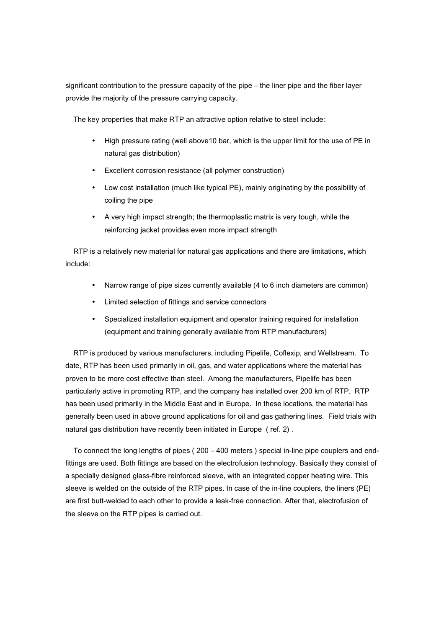significant contribution to the pressure capacity of the pipe – the liner pipe and the fiber layer provide the majority of the pressure carrying capacity.

The key properties that make RTP an attractive option relative to steel include:

- High pressure rating (well above10 bar, which is the upper limit for the use of PE in natural gas distribution)
- Excellent corrosion resistance (all polymer construction)
- Low cost installation (much like typical PE), mainly originating by the possibility of coiling the pipe
- A very high impact strength; the thermoplastic matrix is very tough, while the reinforcing jacket provides even more impact strength

 RTP is a relatively new material for natural gas applications and there are limitations, which include:

- Narrow range of pipe sizes currently available (4 to 6 inch diameters are common)
- Limited selection of fittings and service connectors
- Specialized installation equipment and operator training required for installation (equipment and training generally available from RTP manufacturers)

 RTP is produced by various manufacturers, including Pipelife, Coflexip, and Wellstream. To date, RTP has been used primarily in oil, gas, and water applications where the material has proven to be more cost effective than steel. Among the manufacturers, Pipelife has been particularly active in promoting RTP, and the company has installed over 200 km of RTP. RTP has been used primarily in the Middle East and in Europe. In these locations, the material has generally been used in above ground applications for oil and gas gathering lines. Field trials with natural gas distribution have recently been initiated in Europe ( ref. 2) .

 To connect the long lengths of pipes ( 200 – 400 meters ) special in-line pipe couplers and endfittings are used. Both fittings are based on the electrofusion technology. Basically they consist of a specially designed glass-fibre reinforced sleeve, with an integrated copper heating wire. This sleeve is welded on the outside of the RTP pipes. In case of the in-line couplers, the liners (PE) are first butt-welded to each other to provide a leak-free connection. After that, electrofusion of the sleeve on the RTP pipes is carried out.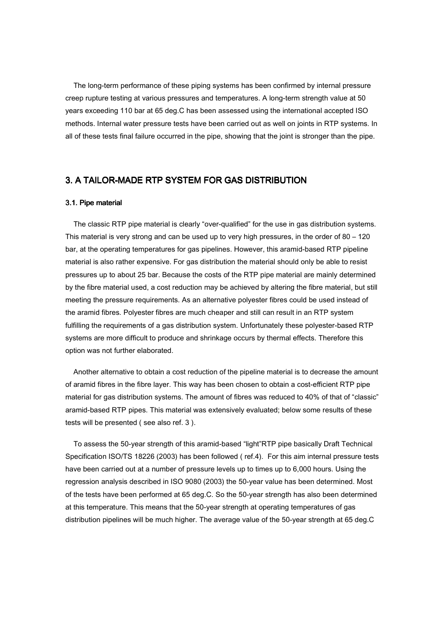The long-term performance of these piping systems has been confirmed by internal pressure creep rupture testing at various pressures and temperatures. A long-term strength value at 50 years exceeding 110 bar at 65 deg.C has been assessed using the international accepted ISO methods. Internal water pressure tests have been carried out as well on joints in RTP systems. In all of these tests final failure occurred in the pipe, showing that the joint is stronger than the pipe.

# 3. A TAILOR-MADE RTP SYSTEM FOR GAS DISTRIBUTION

#### 3.1. Pipe material

 The classic RTP pipe material is clearly "over-qualified" for the use in gas distribution systems. This material is very strong and can be used up to very high pressures, in the order of 80 – 120 bar, at the operating temperatures for gas pipelines. However, this aramid-based RTP pipeline material is also rather expensive. For gas distribution the material should only be able to resist pressures up to about 25 bar. Because the costs of the RTP pipe material are mainly determined by the fibre material used, a cost reduction may be achieved by altering the fibre material, but still meeting the pressure requirements. As an alternative polyester fibres could be used instead of the aramid fibres. Polyester fibres are much cheaper and still can result in an RTP system fulfilling the requirements of a gas distribution system. Unfortunately these polyester-based RTP systems are more difficult to produce and shrinkage occurs by thermal effects. Therefore this option was not further elaborated.

 Another alternative to obtain a cost reduction of the pipeline material is to decrease the amount of aramid fibres in the fibre layer. This way has been chosen to obtain a cost-efficient RTP pipe material for gas distribution systems. The amount of fibres was reduced to 40% of that of "classic" aramid-based RTP pipes. This material was extensively evaluated; below some results of these tests will be presented ( see also ref. 3 ).

 To assess the 50-year strength of this aramid-based "light"RTP pipe basically Draft Technical Specification ISO/TS 18226 (2003) has been followed ( ref.4). For this aim internal pressure tests have been carried out at a number of pressure levels up to times up to 6,000 hours. Using the regression analysis described in ISO 9080 (2003) the 50-year value has been determined. Most of the tests have been performed at 65 deg.C. So the 50-year strength has also been determined at this temperature. This means that the 50-year strength at operating temperatures of gas distribution pipelines will be much higher. The average value of the 50-year strength at 65 deg.C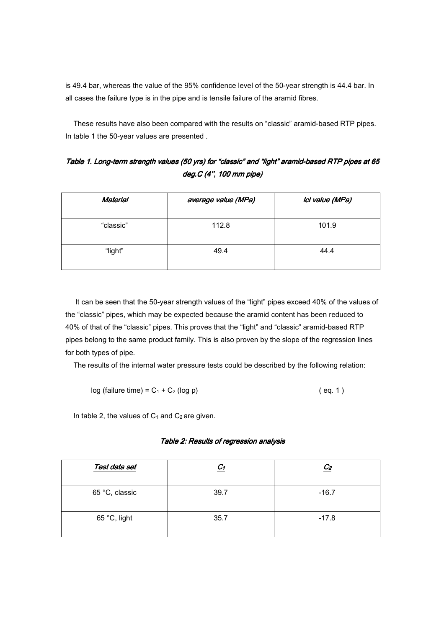is 49.4 bar, whereas the value of the 95% confidence level of the 50-year strength is 44.4 bar. In all cases the failure type is in the pipe and is tensile failure of the aramid fibres.

 These results have also been compared with the results on "classic" aramid-based RTP pipes. In table 1 the 50-year values are presented .

Table 1. Long-term strength values (50 yrs) for "classic" and "light" aramid-based RTP pipes at 65 deg. $C$  (4", 100 mm pipe)

| <b>Material</b> | average value (MPa) | Ici value (MPa) |
|-----------------|---------------------|-----------------|
| "classic"       | 112.8               | 101.9           |
| "light"         | 49.4                | 44.4            |

 It can be seen that the 50-year strength values of the "light" pipes exceed 40% of the values of the "classic" pipes, which may be expected because the aramid content has been reduced to 40% of that of the "classic" pipes. This proves that the "light" and "classic" aramid-based RTP pipes belong to the same product family. This is also proven by the slope of the regression lines for both types of pipe.

The results of the internal water pressure tests could be described by the following relation:

$$
log (failure time) = C1 + C2 (log p)
$$
 (eq. 1)

In table 2, the values of  $C_1$  and  $C_2$  are given.

| Test data set  | $\mathcal{C}_1$ | $\mathcal{C}_2$ |
|----------------|-----------------|-----------------|
| 65 °C, classic | 39.7            | $-16.7$         |
| 65 °C, light   | 35.7            | $-17.8$         |

#### Table 2: Results of regression analysis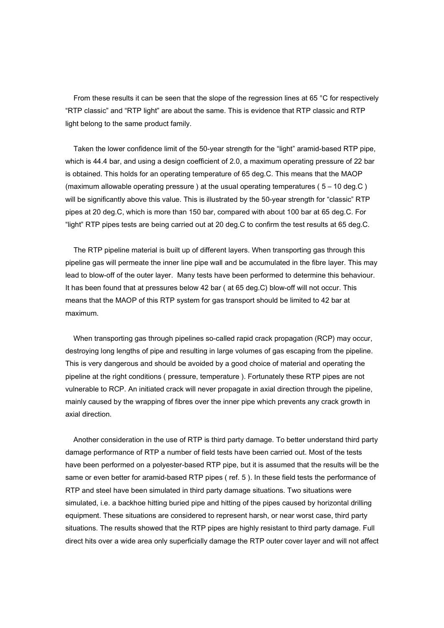From these results it can be seen that the slope of the regression lines at 65 °C for respectively "RTP classic" and "RTP light" are about the same. This is evidence that RTP classic and RTP light belong to the same product family.

 Taken the lower confidence limit of the 50-year strength for the "light" aramid-based RTP pipe, which is 44.4 bar, and using a design coefficient of 2.0, a maximum operating pressure of 22 bar is obtained. This holds for an operating temperature of 65 deg.C. This means that the MAOP (maximum allowable operating pressure ) at the usual operating temperatures ( 5 – 10 deg.C ) will be significantly above this value. This is illustrated by the 50-year strength for "classic" RTP pipes at 20 deg.C, which is more than 150 bar, compared with about 100 bar at 65 deg.C. For "light" RTP pipes tests are being carried out at 20 deg.C to confirm the test results at 65 deg.C.

 The RTP pipeline material is built up of different layers. When transporting gas through this pipeline gas will permeate the inner line pipe wall and be accumulated in the fibre layer. This may lead to blow-off of the outer layer. Many tests have been performed to determine this behaviour. It has been found that at pressures below 42 bar ( at 65 deg.C) blow-off will not occur. This means that the MAOP of this RTP system for gas transport should be limited to 42 bar at maximum.

 When transporting gas through pipelines so-called rapid crack propagation (RCP) may occur, destroying long lengths of pipe and resulting in large volumes of gas escaping from the pipeline. This is very dangerous and should be avoided by a good choice of material and operating the pipeline at the right conditions ( pressure, temperature ). Fortunately these RTP pipes are not vulnerable to RCP. An initiated crack will never propagate in axial direction through the pipeline, mainly caused by the wrapping of fibres over the inner pipe which prevents any crack growth in axial direction.

 Another consideration in the use of RTP is third party damage. To better understand third party damage performance of RTP a number of field tests have been carried out. Most of the tests have been performed on a polyester-based RTP pipe, but it is assumed that the results will be the same or even better for aramid-based RTP pipes ( ref. 5 ). In these field tests the performance of RTP and steel have been simulated in third party damage situations. Two situations were simulated, i.e. a backhoe hitting buried pipe and hitting of the pipes caused by horizontal drilling equipment. These situations are considered to represent harsh, or near worst case, third party situations. The results showed that the RTP pipes are highly resistant to third party damage. Full direct hits over a wide area only superficially damage the RTP outer cover layer and will not affect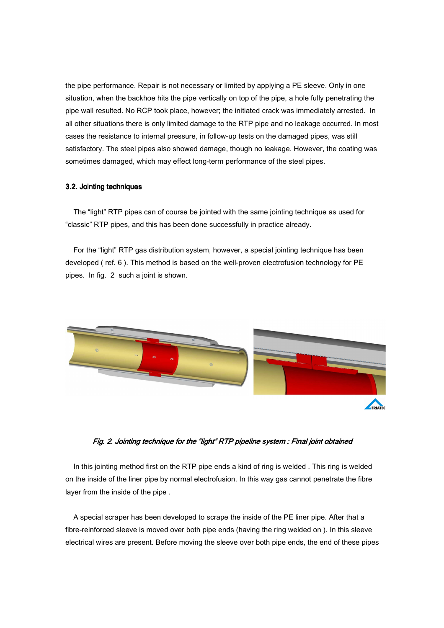the pipe performance. Repair is not necessary or limited by applying a PE sleeve. Only in one situation, when the backhoe hits the pipe vertically on top of the pipe, a hole fully penetrating the pipe wall resulted. No RCP took place, however; the initiated crack was immediately arrested. In all other situations there is only limited damage to the RTP pipe and no leakage occurred. In most cases the resistance to internal pressure, in follow-up tests on the damaged pipes, was still satisfactory. The steel pipes also showed damage, though no leakage. However, the coating was sometimes damaged, which may effect long-term performance of the steel pipes.

# 3.2. Jointing techniques

 The "light" RTP pipes can of course be jointed with the same jointing technique as used for "classic" RTP pipes, and this has been done successfully in practice already.

 For the "light" RTP gas distribution system, however, a special jointing technique has been developed ( ref. 6 ). This method is based on the well-proven electrofusion technology for PE pipes. In fig. 2 such a joint is shown.



Fig. 2. Jointing technique for the "light" RTP pipeline system : Final joint obtained

 In this jointing method first on the RTP pipe ends a kind of ring is welded . This ring is welded on the inside of the liner pipe by normal electrofusion. In this way gas cannot penetrate the fibre layer from the inside of the pipe .

 A special scraper has been developed to scrape the inside of the PE liner pipe. After that a fibre-reinforced sleeve is moved over both pipe ends (having the ring welded on ). In this sleeve electrical wires are present. Before moving the sleeve over both pipe ends, the end of these pipes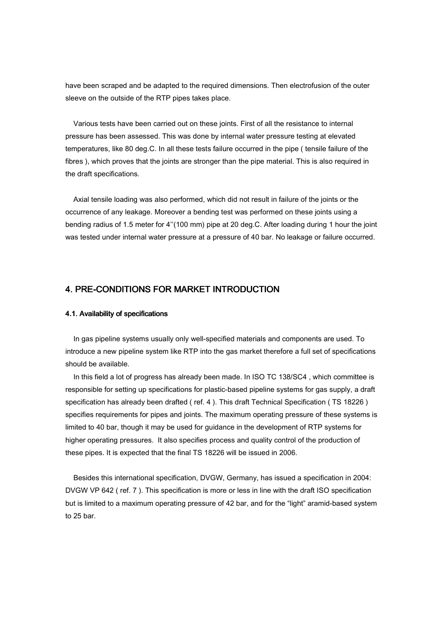have been scraped and be adapted to the required dimensions. Then electrofusion of the outer sleeve on the outside of the RTP pipes takes place.

 Various tests have been carried out on these joints. First of all the resistance to internal pressure has been assessed. This was done by internal water pressure testing at elevated temperatures, like 80 deg.C. In all these tests failure occurred in the pipe ( tensile failure of the fibres ), which proves that the joints are stronger than the pipe material. This is also required in the draft specifications.

 Axial tensile loading was also performed, which did not result in failure of the joints or the occurrence of any leakage. Moreover a bending test was performed on these joints using a bending radius of 1.5 meter for 4''(100 mm) pipe at 20 deg.C. After loading during 1 hour the joint was tested under internal water pressure at a pressure of 40 bar. No leakage or failure occurred.

# 4. PRE-CONDITIONS FOR MARKET INTRODUCTION

## 4.1. Availability of specifications

 In gas pipeline systems usually only well-specified materials and components are used. To introduce a new pipeline system like RTP into the gas market therefore a full set of specifications should be available.

 In this field a lot of progress has already been made. In ISO TC 138/SC4 , which committee is responsible for setting up specifications for plastic-based pipeline systems for gas supply, a draft specification has already been drafted ( ref. 4 ). This draft Technical Specification ( TS 18226 ) specifies requirements for pipes and joints. The maximum operating pressure of these systems is limited to 40 bar, though it may be used for guidance in the development of RTP systems for higher operating pressures. It also specifies process and quality control of the production of these pipes. It is expected that the final TS 18226 will be issued in 2006.

 Besides this international specification, DVGW, Germany, has issued a specification in 2004: DVGW VP 642 ( ref. 7 ). This specification is more or less in line with the draft ISO specification but is limited to a maximum operating pressure of 42 bar, and for the "light" aramid-based system to 25 bar.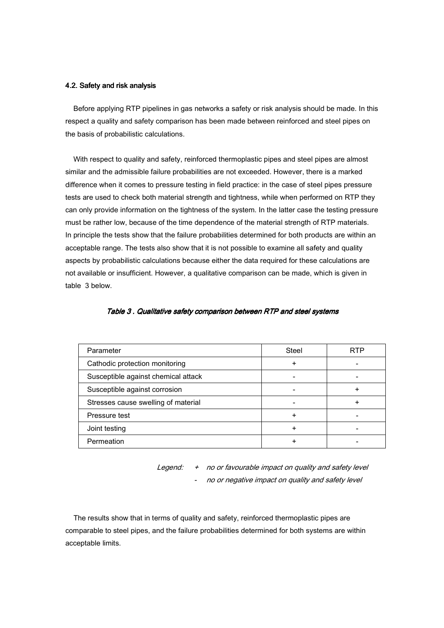#### 4.2. Safety and risk analysis

 Before applying RTP pipelines in gas networks a safety or risk analysis should be made. In this respect a quality and safety comparison has been made between reinforced and steel pipes on the basis of probabilistic calculations.

 With respect to quality and safety, reinforced thermoplastic pipes and steel pipes are almost similar and the admissible failure probabilities are not exceeded. However, there is a marked difference when it comes to pressure testing in field practice: in the case of steel pipes pressure tests are used to check both material strength and tightness, while when performed on RTP they can only provide information on the tightness of the system. In the latter case the testing pressure must be rather low, because of the time dependence of the material strength of RTP materials. In principle the tests show that the failure probabilities determined for both products are within an acceptable range. The tests also show that it is not possible to examine all safety and quality aspects by probabilistic calculations because either the data required for these calculations are not available or insufficient. However, a qualitative comparison can be made, which is given in table 3 below.

| Parameter                           | Steel |  |
|-------------------------------------|-------|--|
| Cathodic protection monitoring      | ٠     |  |
| Susceptible against chemical attack |       |  |
| Susceptible against corrosion       |       |  |
| Stresses cause swelling of material |       |  |
| Pressure test                       |       |  |
| Joint testing                       |       |  |
| Permeation                          |       |  |

#### Table 3. Qualitative safety comparison between RTP and steel systems

Legend: + no or favourable impact on quality and safety level - no or negative impact on quality and safety level

 The results show that in terms of quality and safety, reinforced thermoplastic pipes are comparable to steel pipes, and the failure probabilities determined for both systems are within acceptable limits.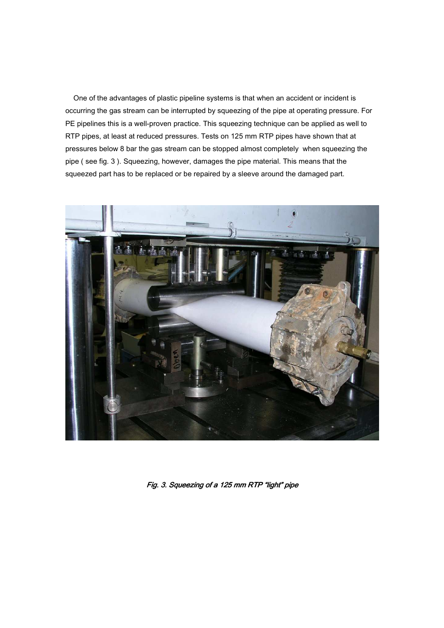One of the advantages of plastic pipeline systems is that when an accident or incident is occurring the gas stream can be interrupted by squeezing of the pipe at operating pressure. For PE pipelines this is a well-proven practice. This squeezing technique can be applied as well to RTP pipes, at least at reduced pressures. Tests on 125 mm RTP pipes have shown that at pressures below 8 bar the gas stream can be stopped almost completely when squeezing the pipe ( see fig. 3 ). Squeezing, however, damages the pipe material. This means that the squeezed part has to be replaced or be repaired by a sleeve around the damaged part.



Fig. 3. Squeezing of a 125 mm RTP "light" pipe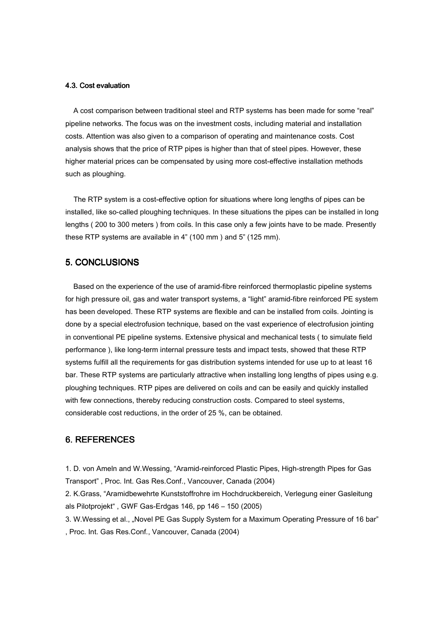#### 4.3. Cost evaluation

 A cost comparison between traditional steel and RTP systems has been made for some "real" pipeline networks. The focus was on the investment costs, including material and installation costs. Attention was also given to a comparison of operating and maintenance costs.Cost analysis shows that the price of RTP pipes is higher than that of steel pipes. However, these higher material prices can be compensated by using more cost-effective installation methods such as ploughing.

 The RTP system is a cost-effective option for situations where long lengths of pipes can be installed, like so-called ploughing techniques. In these situations the pipes can be installed in long lengths ( 200 to 300 meters ) from coils. In this case only a few joints have to be made. Presently these RTP systems are available in 4" (100 mm ) and 5" (125 mm).

# 5. CONCLUSIONS

 Based on the experience of the use of aramid-fibre reinforced thermoplastic pipeline systems for high pressure oil, gas and water transport systems, a "light" aramid-fibre reinforced PE system has been developed. These RTP systems are flexible and can be installed from coils. Jointing is done by a special electrofusion technique, based on the vast experience of electrofusion jointing in conventional PE pipeline systems. Extensive physical and mechanical tests ( to simulate field performance ), like long-term internal pressure tests and impact tests, showed that these RTP systems fulfill all the requirements for gas distribution systems intended for use up to at least 16 bar. These RTP systems are particularly attractive when installing long lengths of pipes using e.g. ploughing techniques. RTP pipes are delivered on coils and can be easily and quickly installed with few connections, thereby reducing construction costs. Compared to steel systems, considerable cost reductions, in the order of 25 %, can be obtained.

## 6. REFERENCES

1. D. von Ameln and W.Wessing, "Aramid-reinforced Plastic Pipes, High-strength Pipes for Gas Transport" , Proc. Int. Gas Res.Conf., Vancouver, Canada (2004)

2. K.Grass, "Aramidbewehrte Kunststoffrohre im Hochdruckbereich, Verlegung einer Gasleitung als Pilotprojekt" , GWF Gas-Erdgas 146, pp 146 – 150 (2005)

3. W.Wessing et al., "Novel PE Gas Supply System for a Maximum Operating Pressure of 16 bar" , Proc. Int. Gas Res.Conf., Vancouver, Canada (2004)